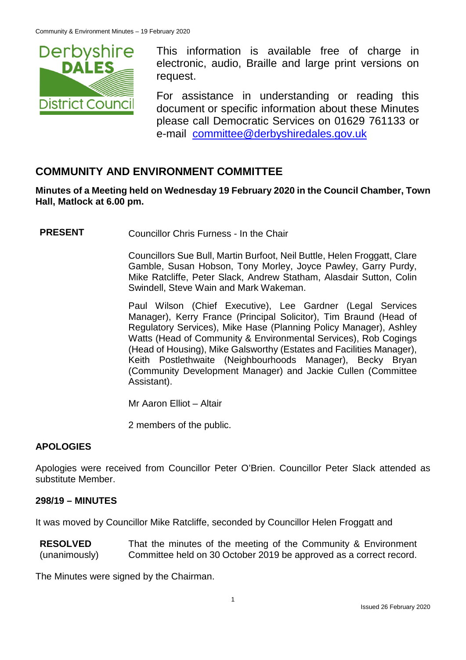

This information is available free of charge in electronic, audio, Braille and large print versions on request.

For assistance in understanding or reading this document or specific information about these Minutes please call Democratic Services on 01629 761133 or e-mail [committee@derbyshiredales.gov.uk](mailto:brian.evans@derbyshiredales.gov.uk)

# **COMMUNITY AND ENVIRONMENT COMMITTEE**

**Minutes of a Meeting held on Wednesday 19 February 2020 in the Council Chamber, Town Hall, Matlock at 6.00 pm.**

**PRESENT** Councillor Chris Furness - In the Chair

Councillors Sue Bull, Martin Burfoot, Neil Buttle, Helen Froggatt, Clare Gamble, Susan Hobson, Tony Morley, Joyce Pawley, Garry Purdy, Mike Ratcliffe, Peter Slack, Andrew Statham, Alasdair Sutton, Colin Swindell, Steve Wain and Mark Wakeman.

Paul Wilson (Chief Executive), Lee Gardner (Legal Services Manager), Kerry France (Principal Solicitor), Tim Braund (Head of Regulatory Services), Mike Hase (Planning Policy Manager), Ashley Watts (Head of Community & Environmental Services), Rob Cogings (Head of Housing), Mike Galsworthy (Estates and Facilities Manager), Keith Postlethwaite (Neighbourhoods Manager), Becky Bryan (Community Development Manager) and Jackie Cullen (Committee Assistant).

Mr Aaron Elliot – Altair

2 members of the public.

#### **APOLOGIES**

Apologies were received from Councillor Peter O'Brien. Councillor Peter Slack attended as substitute Member.

#### **298/19 – MINUTES**

It was moved by Councillor Mike Ratcliffe, seconded by Councillor Helen Froggatt and

**RESOLVED** (unanimously) That the minutes of the meeting of the Community & Environment Committee held on 30 October 2019 be approved as a correct record.

The Minutes were signed by the Chairman.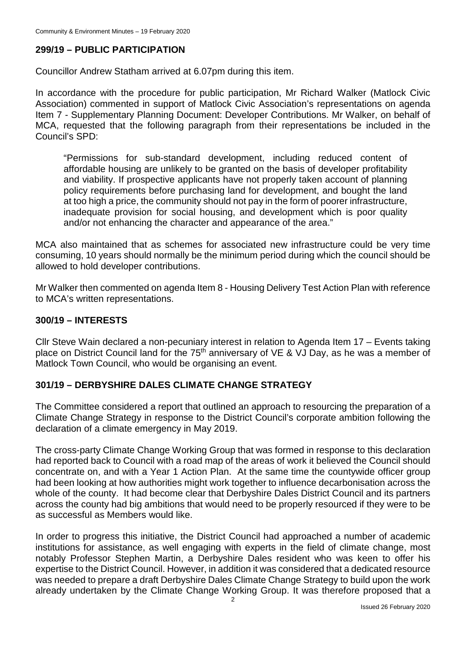# **299/19 – PUBLIC PARTICIPATION**

Councillor Andrew Statham arrived at 6.07pm during this item.

In accordance with the procedure for public participation, Mr Richard Walker (Matlock Civic Association) commented in support of Matlock Civic Association's representations on agenda Item 7 - Supplementary Planning Document: Developer Contributions. Mr Walker, on behalf of MCA, requested that the following paragraph from their representations be included in the Council's SPD:

"Permissions for sub-standard development, including reduced content of affordable housing are unlikely to be granted on the basis of developer profitability and viability. If prospective applicants have not properly taken account of planning policy requirements before purchasing land for development, and bought the land at too high a price, the community should not pay in the form of poorer infrastructure, inadequate provision for social housing, and development which is poor quality and/or not enhancing the character and appearance of the area."

MCA also maintained that as schemes for associated new infrastructure could be very time consuming, 10 years should normally be the minimum period during which the council should be allowed to hold developer contributions.

Mr Walker then commented on agenda Item 8 - Housing Delivery Test Action Plan with reference to MCA's written representations.

### **300/19 – INTERESTS**

Cllr Steve Wain declared a non-pecuniary interest in relation to Agenda Item 17 – Events taking place on District Council land for the  $75<sup>th</sup>$  anniversary of VE & VJ Day, as he was a member of Matlock Town Council, who would be organising an event.

#### **301/19 – DERBYSHIRE DALES CLIMATE CHANGE STRATEGY**

The Committee considered a report that outlined an approach to resourcing the preparation of a Climate Change Strategy in response to the District Council's corporate ambition following the declaration of a climate emergency in May 2019.

The cross-party Climate Change Working Group that was formed in response to this declaration had reported back to Council with a road map of the areas of work it believed the Council should concentrate on, and with a Year 1 Action Plan. At the same time the countywide officer group had been looking at how authorities might work together to influence decarbonisation across the whole of the county. It had become clear that Derbyshire Dales District Council and its partners across the county had big ambitions that would need to be properly resourced if they were to be as successful as Members would like.

In order to progress this initiative, the District Council had approached a number of academic institutions for assistance, as well engaging with experts in the field of climate change, most notably Professor Stephen Martin, a Derbyshire Dales resident who was keen to offer his expertise to the District Council. However, in addition it was considered that a dedicated resource was needed to prepare a draft Derbyshire Dales Climate Change Strategy to build upon the work already undertaken by the Climate Change Working Group. It was therefore proposed that a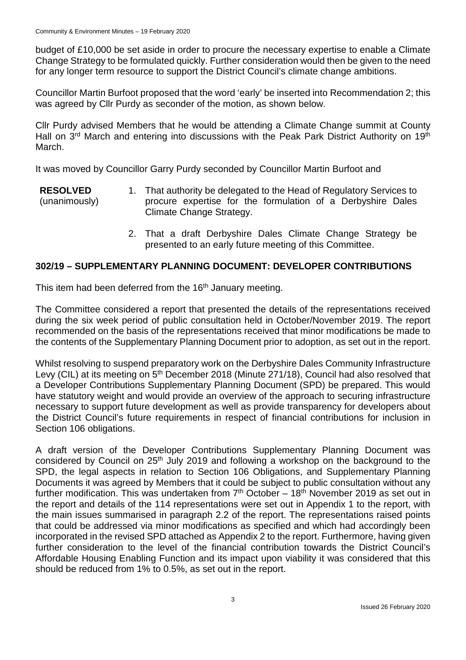budget of £10,000 be set aside in order to procure the necessary expertise to enable a Climate Change Strategy to be formulated quickly. Further consideration would then be given to the need for any longer term resource to support the District Council's climate change ambitions.

Councillor Martin Burfoot proposed that the word 'early' be inserted into Recommendation 2; this was agreed by Cllr Purdy as seconder of the motion, as shown below.

Cllr Purdy advised Members that he would be attending a Climate Change summit at County Hall on 3<sup>rd</sup> March and entering into discussions with the Peak Park District Authority on 19<sup>th</sup> March.

It was moved by Councillor Garry Purdy seconded by Councillor Martin Burfoot and

- **RESOLVED** (unanimously) 1. That authority be delegated to the Head of Regulatory Services to procure expertise for the formulation of a Derbyshire Dales Climate Change Strategy.
	- 2. That a draft Derbyshire Dales Climate Change Strategy be presented to an early future meeting of this Committee.

## **302/19 – SUPPLEMENTARY PLANNING DOCUMENT: DEVELOPER CONTRIBUTIONS**

This item had been deferred from the 16<sup>th</sup> January meeting.

The Committee considered a report that presented the details of the representations received during the six week period of public consultation held in October/November 2019. The report recommended on the basis of the representations received that minor modifications be made to the contents of the Supplementary Planning Document prior to adoption, as set out in the report.

Whilst resolving to suspend preparatory work on the Derbyshire Dales Community Infrastructure Levy (CIL) at its meeting on 5<sup>th</sup> December 2018 (Minute 271/18), Council had also resolved that a Developer Contributions Supplementary Planning Document (SPD) be prepared. This would have statutory weight and would provide an overview of the approach to securing infrastructure necessary to support future development as well as provide transparency for developers about the District Council's future requirements in respect of financial contributions for inclusion in Section 106 obligations.

A draft version of the Developer Contributions Supplementary Planning Document was considered by Council on 25<sup>th</sup> July 2019 and following a workshop on the background to the SPD, the legal aspects in relation to Section 106 Obligations, and Supplementary Planning Documents it was agreed by Members that it could be subject to public consultation without any further modification. This was undertaken from  $7<sup>th</sup>$  October – 18<sup>th</sup> November 2019 as set out in the report and details of the 114 representations were set out in Appendix 1 to the report, with the main issues summarised in paragraph 2.2 of the report. The representations raised points that could be addressed via minor modifications as specified and which had accordingly been incorporated in the revised SPD attached as Appendix 2 to the report. Furthermore, having given further consideration to the level of the financial contribution towards the District Council's Affordable Housing Enabling Function and its impact upon viability it was considered that this should be reduced from 1% to 0.5%, as set out in the report.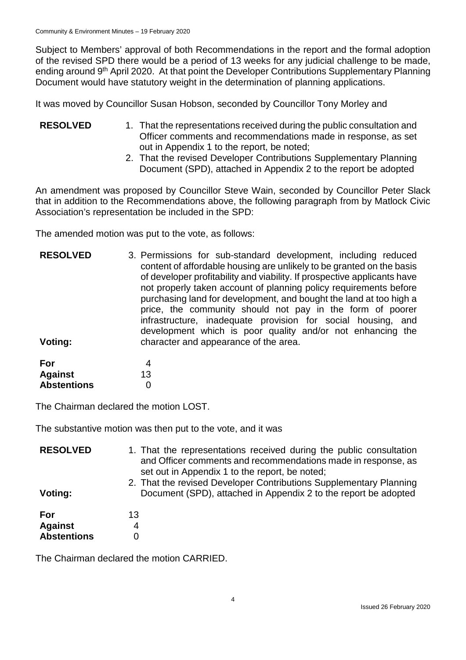Subject to Members' approval of both Recommendations in the report and the formal adoption of the revised SPD there would be a period of 13 weeks for any judicial challenge to be made, ending around 9<sup>th</sup> April 2020. At that point the Developer Contributions Supplementary Planning Document would have statutory weight in the determination of planning applications.

It was moved by Councillor Susan Hobson, seconded by Councillor Tony Morley and

- **RESOLVED** 1. That the representations received during the public consultation and Officer comments and recommendations made in response, as set out in Appendix 1 to the report, be noted;
	- 2. That the revised Developer Contributions Supplementary Planning Document (SPD), attached in Appendix 2 to the report be adopted

An amendment was proposed by Councillor Steve Wain, seconded by Councillor Peter Slack that in addition to the Recommendations above, the following paragraph from by Matlock Civic Association's representation be included in the SPD:

The amended motion was put to the vote, as follows:

| <b>RESOLVED</b> | 3. Permissions for sub-standard development, including reduced<br>content of affordable housing are unlikely to be granted on the basis<br>of developer profitability and viability. If prospective applicants have<br>not properly taken account of planning policy requirements before<br>purchasing land for development, and bought the land at too high a<br>price, the community should not pay in the form of poorer<br>infrastructure, inadequate provision for social housing, and<br>development which is poor quality and/or not enhancing the |
|-----------------|-----------------------------------------------------------------------------------------------------------------------------------------------------------------------------------------------------------------------------------------------------------------------------------------------------------------------------------------------------------------------------------------------------------------------------------------------------------------------------------------------------------------------------------------------------------|
| Voting:         | character and appearance of the area.                                                                                                                                                                                                                                                                                                                                                                                                                                                                                                                     |

| For                |    |
|--------------------|----|
| <b>Against</b>     | 13 |
| <b>Abstentions</b> | O  |

The Chairman declared the motion LOST.

The substantive motion was then put to the vote, and it was

| <b>RESOLVED</b><br>Voting:                  | 1. That the representations received during the public consultation<br>and Officer comments and recommendations made in response, as<br>set out in Appendix 1 to the report, be noted;<br>2. That the revised Developer Contributions Supplementary Planning<br>Document (SPD), attached in Appendix 2 to the report be adopted |
|---------------------------------------------|---------------------------------------------------------------------------------------------------------------------------------------------------------------------------------------------------------------------------------------------------------------------------------------------------------------------------------|
| For<br><b>Against</b><br><b>Abstentions</b> | 13<br>4                                                                                                                                                                                                                                                                                                                         |

The Chairman declared the motion CARRIED.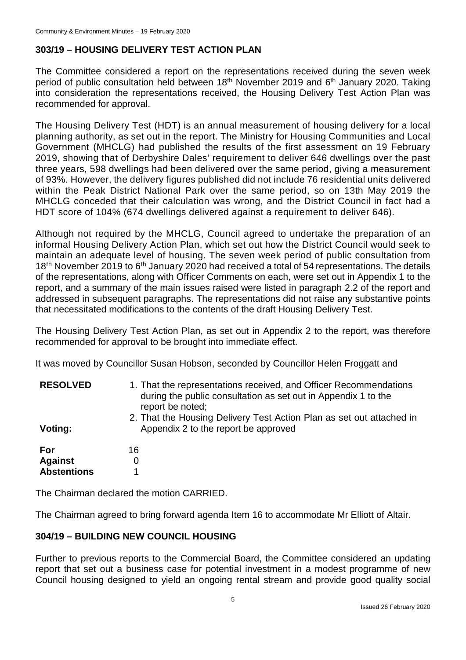# **303/19 – HOUSING DELIVERY TEST ACTION PLAN**

The Committee considered a report on the representations received during the seven week period of public consultation held between 18<sup>th</sup> November 2019 and 6<sup>th</sup> January 2020. Taking into consideration the representations received, the Housing Delivery Test Action Plan was recommended for approval.

The Housing Delivery Test (HDT) is an annual measurement of housing delivery for a local planning authority, as set out in the report. The Ministry for Housing Communities and Local Government (MHCLG) had published the results of the first assessment on 19 February 2019, showing that of Derbyshire Dales' requirement to deliver 646 dwellings over the past three years, 598 dwellings had been delivered over the same period, giving a measurement of 93%. However, the delivery figures published did not include 76 residential units delivered within the Peak District National Park over the same period, so on 13th May 2019 the MHCLG conceded that their calculation was wrong, and the District Council in fact had a HDT score of 104% (674 dwellings delivered against a requirement to deliver 646).

Although not required by the MHCLG, Council agreed to undertake the preparation of an informal Housing Delivery Action Plan, which set out how the District Council would seek to maintain an adequate level of housing. The seven week period of public consultation from 18<sup>th</sup> November 2019 to 6<sup>th</sup> January 2020 had received a total of 54 representations. The details of the representations, along with Officer Comments on each, were set out in Appendix 1 to the report, and a summary of the main issues raised were listed in paragraph 2.2 of the report and addressed in subsequent paragraphs. The representations did not raise any substantive points that necessitated modifications to the contents of the draft Housing Delivery Test.

The Housing Delivery Test Action Plan, as set out in Appendix 2 to the report, was therefore recommended for approval to be brought into immediate effect.

It was moved by Councillor Susan Hobson, seconded by Councillor Helen Froggatt and

| <b>RESOLVED</b>                             | 1. That the representations received, and Officer Recommendations<br>during the public consultation as set out in Appendix 1 to the<br>report be noted; |
|---------------------------------------------|---------------------------------------------------------------------------------------------------------------------------------------------------------|
| Voting:                                     | 2. That the Housing Delivery Test Action Plan as set out attached in<br>Appendix 2 to the report be approved                                            |
| For<br><b>Against</b><br><b>Abstentions</b> | 16<br>0                                                                                                                                                 |

The Chairman declared the motion CARRIED.

The Chairman agreed to bring forward agenda Item 16 to accommodate Mr Elliott of Altair.

## **304/19 – BUILDING NEW COUNCIL HOUSING**

Further to previous reports to the Commercial Board, the Committee considered an updating report that set out a business case for potential investment in a modest programme of new Council housing designed to yield an ongoing rental stream and provide good quality social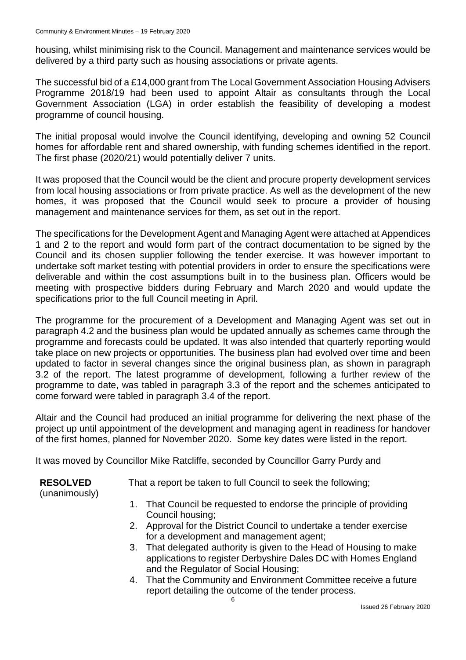housing, whilst minimising risk to the Council. Management and maintenance services would be delivered by a third party such as housing associations or private agents.

The successful bid of a £14,000 grant from The Local Government Association Housing Advisers Programme 2018/19 had been used to appoint Altair as consultants through the Local Government Association (LGA) in order establish the feasibility of developing a modest programme of council housing.

The initial proposal would involve the Council identifying, developing and owning 52 Council homes for affordable rent and shared ownership, with funding schemes identified in the report. The first phase (2020/21) would potentially deliver 7 units.

It was proposed that the Council would be the client and procure property development services from local housing associations or from private practice. As well as the development of the new homes, it was proposed that the Council would seek to procure a provider of housing management and maintenance services for them, as set out in the report.

The specifications for the Development Agent and Managing Agent were attached at Appendices 1 and 2 to the report and would form part of the contract documentation to be signed by the Council and its chosen supplier following the tender exercise. It was however important to undertake soft market testing with potential providers in order to ensure the specifications were deliverable and within the cost assumptions built in to the business plan. Officers would be meeting with prospective bidders during February and March 2020 and would update the specifications prior to the full Council meeting in April.

The programme for the procurement of a Development and Managing Agent was set out in paragraph 4.2 and the business plan would be updated annually as schemes came through the programme and forecasts could be updated. It was also intended that quarterly reporting would take place on new projects or opportunities. The business plan had evolved over time and been updated to factor in several changes since the original business plan, as shown in paragraph 3.2 of the report. The latest programme of development, following a further review of the programme to date, was tabled in paragraph 3.3 of the report and the schemes anticipated to come forward were tabled in paragraph 3.4 of the report.

Altair and the Council had produced an initial programme for delivering the next phase of the project up until appointment of the development and managing agent in readiness for handover of the first homes, planned for November 2020. Some key dates were listed in the report.

It was moved by Councillor Mike Ratcliffe, seconded by Councillor Garry Purdy and

## **RESOLVED**

That a report be taken to full Council to seek the following;

- (unanimously)
- 1. That Council be requested to endorse the principle of providing Council housing;
- 2. Approval for the District Council to undertake a tender exercise for a development and management agent;
- 3. That delegated authority is given to the Head of Housing to make applications to register Derbyshire Dales DC with Homes England and the Regulator of Social Housing;
- 4. That the Community and Environment Committee receive a future report detailing the outcome of the tender process.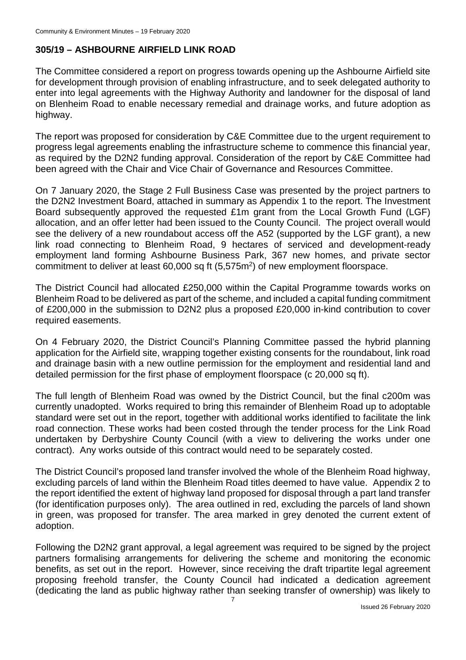# **305/19 – ASHBOURNE AIRFIELD LINK ROAD**

The Committee considered a report on progress towards opening up the Ashbourne Airfield site for development through provision of enabling infrastructure, and to seek delegated authority to enter into legal agreements with the Highway Authority and landowner for the disposal of land on Blenheim Road to enable necessary remedial and drainage works, and future adoption as highway.

The report was proposed for consideration by C&E Committee due to the urgent requirement to progress legal agreements enabling the infrastructure scheme to commence this financial year, as required by the D2N2 funding approval. Consideration of the report by C&E Committee had been agreed with the Chair and Vice Chair of Governance and Resources Committee.

On 7 January 2020, the Stage 2 Full Business Case was presented by the project partners to the D2N2 Investment Board, attached in summary as Appendix 1 to the report. The Investment Board subsequently approved the requested £1m grant from the Local Growth Fund (LGF) allocation, and an offer letter had been issued to the County Council. The project overall would see the delivery of a new roundabout access off the A52 (supported by the LGF grant), a new link road connecting to Blenheim Road, 9 hectares of serviced and development-ready employment land forming Ashbourne Business Park, 367 new homes, and private sector commitment to deliver at least 60,000 sq ft (5,575m<sup>2</sup>) of new employment floorspace.

The District Council had allocated £250,000 within the Capital Programme towards works on Blenheim Road to be delivered as part of the scheme, and included a capital funding commitment of £200,000 in the submission to D2N2 plus a proposed £20,000 in-kind contribution to cover required easements.

On 4 February 2020, the District Council's Planning Committee passed the hybrid planning application for the Airfield site, wrapping together existing consents for the roundabout, link road and drainage basin with a new outline permission for the employment and residential land and detailed permission for the first phase of employment floorspace (c 20,000 sq ft).

The full length of Blenheim Road was owned by the District Council, but the final c200m was currently unadopted. Works required to bring this remainder of Blenheim Road up to adoptable standard were set out in the report, together with additional works identified to facilitate the link road connection. These works had been costed through the tender process for the Link Road undertaken by Derbyshire County Council (with a view to delivering the works under one contract). Any works outside of this contract would need to be separately costed.

The District Council's proposed land transfer involved the whole of the Blenheim Road highway, excluding parcels of land within the Blenheim Road titles deemed to have value. Appendix 2 to the report identified the extent of highway land proposed for disposal through a part land transfer (for identification purposes only). The area outlined in red, excluding the parcels of land shown in green, was proposed for transfer. The area marked in grey denoted the current extent of adoption.

Following the D2N2 grant approval, a legal agreement was required to be signed by the project partners formalising arrangements for delivering the scheme and monitoring the economic benefits, as set out in the report. However, since receiving the draft tripartite legal agreement proposing freehold transfer, the County Council had indicated a dedication agreement (dedicating the land as public highway rather than seeking transfer of ownership) was likely to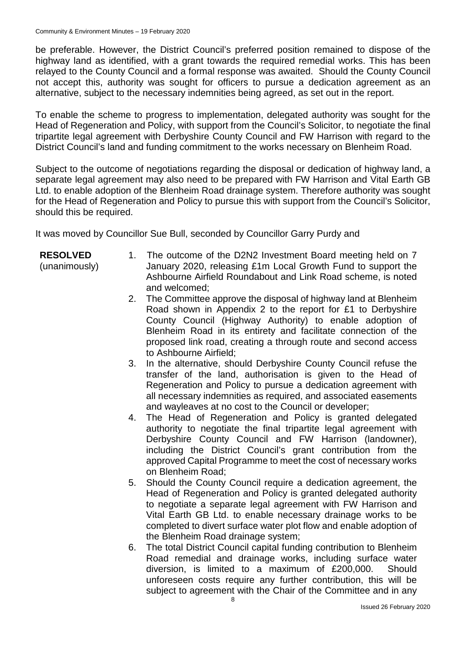be preferable. However, the District Council's preferred position remained to dispose of the highway land as identified, with a grant towards the required remedial works. This has been relayed to the County Council and a formal response was awaited. Should the County Council not accept this, authority was sought for officers to pursue a dedication agreement as an alternative, subject to the necessary indemnities being agreed, as set out in the report.

To enable the scheme to progress to implementation, delegated authority was sought for the Head of Regeneration and Policy, with support from the Council's Solicitor, to negotiate the final tripartite legal agreement with Derbyshire County Council and FW Harrison with regard to the District Council's land and funding commitment to the works necessary on Blenheim Road.

Subject to the outcome of negotiations regarding the disposal or dedication of highway land, a separate legal agreement may also need to be prepared with FW Harrison and Vital Earth GB Ltd. to enable adoption of the Blenheim Road drainage system. Therefore authority was sought for the Head of Regeneration and Policy to pursue this with support from the Council's Solicitor, should this be required.

It was moved by Councillor Sue Bull, seconded by Councillor Garry Purdy and

### **RESOLVED**

(unanimously)

- 1. The outcome of the D2N2 Investment Board meeting held on 7 January 2020, releasing £1m Local Growth Fund to support the Ashbourne Airfield Roundabout and Link Road scheme, is noted and welcomed;
- 2. The Committee approve the disposal of highway land at Blenheim Road shown in Appendix 2 to the report for £1 to Derbyshire County Council (Highway Authority) to enable adoption of Blenheim Road in its entirety and facilitate connection of the proposed link road, creating a through route and second access to Ashbourne Airfield;
- 3. In the alternative, should Derbyshire County Council refuse the transfer of the land, authorisation is given to the Head of Regeneration and Policy to pursue a dedication agreement with all necessary indemnities as required, and associated easements and wayleaves at no cost to the Council or developer;
- 4. The Head of Regeneration and Policy is granted delegated authority to negotiate the final tripartite legal agreement with Derbyshire County Council and FW Harrison (landowner), including the District Council's grant contribution from the approved Capital Programme to meet the cost of necessary works on Blenheim Road;
- 5. Should the County Council require a dedication agreement, the Head of Regeneration and Policy is granted delegated authority to negotiate a separate legal agreement with FW Harrison and Vital Earth GB Ltd. to enable necessary drainage works to be completed to divert surface water plot flow and enable adoption of the Blenheim Road drainage system;
- 6. The total District Council capital funding contribution to Blenheim Road remedial and drainage works, including surface water diversion, is limited to a maximum of £200,000. Should unforeseen costs require any further contribution, this will be subject to agreement with the Chair of the Committee and in any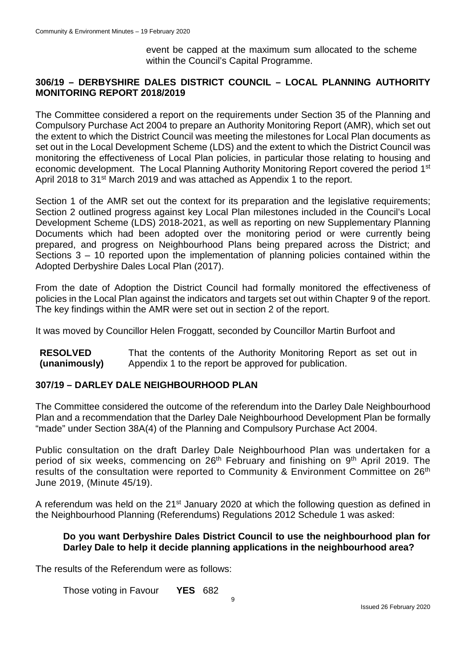event be capped at the maximum sum allocated to the scheme within the Council's Capital Programme.

### **306/19 – DERBYSHIRE DALES DISTRICT COUNCIL – LOCAL PLANNING AUTHORITY MONITORING REPORT 2018/2019**

The Committee considered a report on the requirements under Section 35 of the Planning and Compulsory Purchase Act 2004 to prepare an Authority Monitoring Report (AMR), which set out the extent to which the District Council was meeting the milestones for Local Plan documents as set out in the Local Development Scheme (LDS) and the extent to which the District Council was monitoring the effectiveness of Local Plan policies, in particular those relating to housing and economic development. The Local Planning Authority Monitoring Report covered the period 1<sup>st</sup> April 2018 to 31<sup>st</sup> March 2019 and was attached as Appendix 1 to the report.

Section 1 of the AMR set out the context for its preparation and the legislative requirements; Section 2 outlined progress against key Local Plan milestones included in the Council's Local Development Scheme (LDS) 2018-2021, as well as reporting on new Supplementary Planning Documents which had been adopted over the monitoring period or were currently being prepared, and progress on Neighbourhood Plans being prepared across the District; and Sections 3 – 10 reported upon the implementation of planning policies contained within the Adopted Derbyshire Dales Local Plan (2017).

From the date of Adoption the District Council had formally monitored the effectiveness of policies in the Local Plan against the indicators and targets set out within Chapter 9 of the report. The key findings within the AMR were set out in section 2 of the report.

It was moved by Councillor Helen Froggatt, seconded by Councillor Martin Burfoot and

**RESOLVED (unanimously)** That the contents of the Authority Monitoring Report as set out in Appendix 1 to the report be approved for publication.

#### **307/19 – DARLEY DALE NEIGHBOURHOOD PLAN**

The Committee considered the outcome of the referendum into the Darley Dale Neighbourhood Plan and a recommendation that the Darley Dale Neighbourhood Development Plan be formally "made" under Section 38A(4) of the Planning and Compulsory Purchase Act 2004.

Public consultation on the draft Darley Dale Neighbourhood Plan was undertaken for a period of six weeks, commencing on 26<sup>th</sup> February and finishing on 9<sup>th</sup> April 2019. The results of the consultation were reported to Community & Environment Committee on 26<sup>th</sup> June 2019, (Minute 45/19).

A referendum was held on the 21<sup>st</sup> January 2020 at which the following question as defined in the Neighbourhood Planning (Referendums) Regulations 2012 Schedule 1 was asked:

#### **Do you want Derbyshire Dales District Council to use the neighbourhood plan for Darley Dale to help it decide planning applications in the neighbourhood area?**

The results of the Referendum were as follows:

Those voting in Favour **YES** 682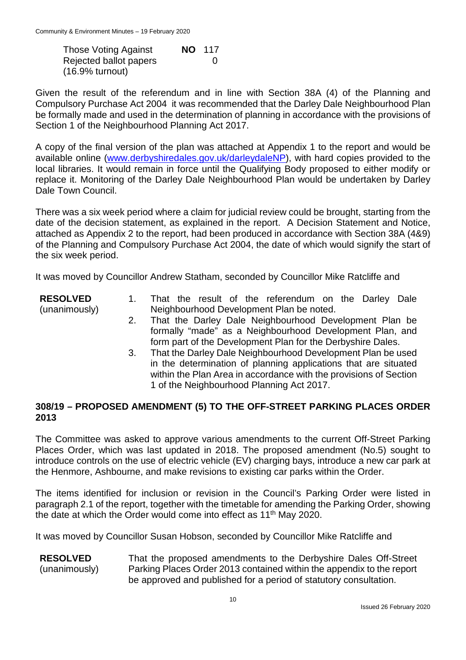Those Voting Against **NO** 117 Rejected ballot papers 0 (16.9% turnout)

Given the result of the referendum and in line with Section 38A (4) of the Planning and Compulsory Purchase Act 2004 it was recommended that the Darley Dale Neighbourhood Plan be formally made and used in the determination of planning in accordance with the provisions of Section 1 of the Neighbourhood Planning Act 2017.

A copy of the final version of the plan was attached at Appendix 1 to the report and would be available online [\(www.derbyshiredales.gov.uk/darleydaleNP\)](http://www.derbyshiredales.gov.uk/darleydaleNP), with hard copies provided to the local libraries. It would remain in force until the Qualifying Body proposed to either modify or replace it. Monitoring of the Darley Dale Neighbourhood Plan would be undertaken by Darley Dale Town Council.

There was a six week period where a claim for judicial review could be brought, starting from the date of the decision statement, as explained in the report. A Decision Statement and Notice, attached as Appendix 2 to the report, had been produced in accordance with Section 38A (4&9) of the Planning and Compulsory Purchase Act 2004, the date of which would signify the start of the six week period.

It was moved by Councillor Andrew Statham, seconded by Councillor Mike Ratcliffe and

- **RESOLVED** (unanimously) 1. That the result of the referendum on the Darley Dale Neighbourhood Development Plan be noted.
	- 2. That the Darley Dale Neighbourhood Development Plan be formally "made" as a Neighbourhood Development Plan, and form part of the Development Plan for the Derbyshire Dales.
	- 3. That the Darley Dale Neighbourhood Development Plan be used in the determination of planning applications that are situated within the Plan Area in accordance with the provisions of Section 1 of the Neighbourhood Planning Act 2017.

### **308/19 – PROPOSED AMENDMENT (5) TO THE OFF-STREET PARKING PLACES ORDER 2013**

The Committee was asked to approve various amendments to the current Off-Street Parking Places Order, which was last updated in 2018. The proposed amendment (No.5) sought to introduce controls on the use of electric vehicle (EV) charging bays, introduce a new car park at the Henmore, Ashbourne, and make revisions to existing car parks within the Order.

The items identified for inclusion or revision in the Council's Parking Order were listed in paragraph 2.1 of the report, together with the timetable for amending the Parking Order, showing the date at which the Order would come into effect as 11<sup>th</sup> May 2020.

It was moved by Councillor Susan Hobson, seconded by Councillor Mike Ratcliffe and

**RESOLVED** (unanimously) That the proposed amendments to the Derbyshire Dales Off-Street Parking Places Order 2013 contained within the appendix to the report be approved and published for a period of statutory consultation.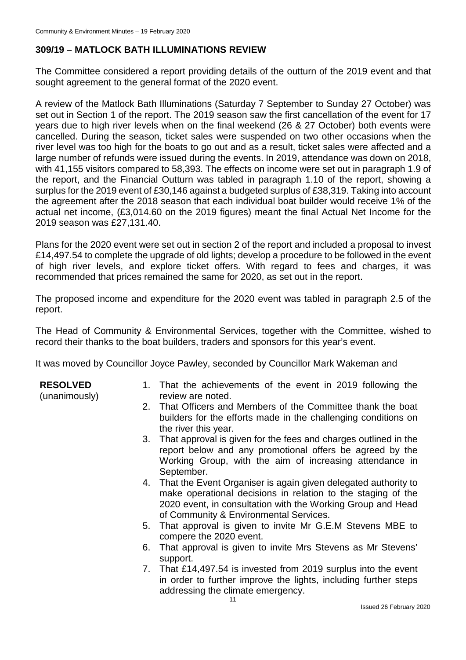# **309/19 – MATLOCK BATH ILLUMINATIONS REVIEW**

The Committee considered a report providing details of the outturn of the 2019 event and that sought agreement to the general format of the 2020 event.

A review of the Matlock Bath Illuminations (Saturday 7 September to Sunday 27 October) was set out in Section 1 of the report. The 2019 season saw the first cancellation of the event for 17 years due to high river levels when on the final weekend (26 & 27 October) both events were cancelled. During the season, ticket sales were suspended on two other occasions when the river level was too high for the boats to go out and as a result, ticket sales were affected and a large number of refunds were issued during the events. In 2019, attendance was down on 2018, with 41,155 visitors compared to 58,393. The effects on income were set out in paragraph 1.9 of the report, and the Financial Outturn was tabled in paragraph 1.10 of the report, showing a surplus for the 2019 event of £30,146 against a budgeted surplus of £38,319. Taking into account the agreement after the 2018 season that each individual boat builder would receive 1% of the actual net income, (£3,014.60 on the 2019 figures) meant the final Actual Net Income for the 2019 season was £27,131.40.

Plans for the 2020 event were set out in section 2 of the report and included a proposal to invest £14,497.54 to complete the upgrade of old lights; develop a procedure to be followed in the event of high river levels, and explore ticket offers. With regard to fees and charges, it was recommended that prices remained the same for 2020, as set out in the report.

The proposed income and expenditure for the 2020 event was tabled in paragraph 2.5 of the report.

The Head of Community & Environmental Services, together with the Committee, wished to record their thanks to the boat builders, traders and sponsors for this year's event.

It was moved by Councillor Joyce Pawley, seconded by Councillor Mark Wakeman and

#### **RESOLVED**

(unanimously)

- 1. That the achievements of the event in 2019 following the review are noted.
- 2. That Officers and Members of the Committee thank the boat builders for the efforts made in the challenging conditions on the river this year.
- 3. That approval is given for the fees and charges outlined in the report below and any promotional offers be agreed by the Working Group, with the aim of increasing attendance in September.
- 4. That the Event Organiser is again given delegated authority to make operational decisions in relation to the staging of the 2020 event, in consultation with the Working Group and Head of Community & Environmental Services.
- 5. That approval is given to invite Mr G.E.M Stevens MBE to compere the 2020 event.
- 6. That approval is given to invite Mrs Stevens as Mr Stevens' support.
- 7. That £14,497.54 is invested from 2019 surplus into the event in order to further improve the lights, including further steps addressing the climate emergency.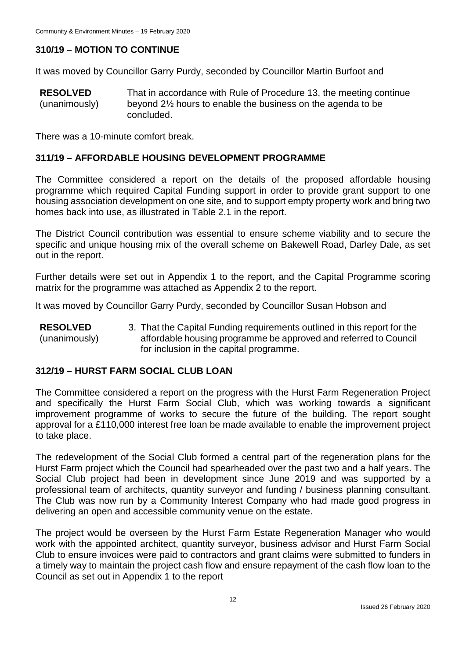## **310/19 – MOTION TO CONTINUE**

It was moved by Councillor Garry Purdy, seconded by Councillor Martin Burfoot and

**RESOLVED** (unanimously) That in accordance with Rule of Procedure 13, the meeting continue beyond 2½ hours to enable the business on the agenda to be concluded.

There was a 10-minute comfort break.

#### **311/19 – AFFORDABLE HOUSING DEVELOPMENT PROGRAMME**

The Committee considered a report on the details of the proposed affordable housing programme which required Capital Funding support in order to provide grant support to one housing association development on one site, and to support empty property work and bring two homes back into use, as illustrated in Table 2.1 in the report.

The District Council contribution was essential to ensure scheme viability and to secure the specific and unique housing mix of the overall scheme on Bakewell Road, Darley Dale, as set out in the report.

Further details were set out in Appendix 1 to the report, and the Capital Programme scoring matrix for the programme was attached as Appendix 2 to the report.

It was moved by Councillor Garry Purdy, seconded by Councillor Susan Hobson and

**RESOLVED** (unanimously) 3. That the Capital Funding requirements outlined in this report for the affordable housing programme be approved and referred to Council for inclusion in the capital programme.

#### **312/19 – HURST FARM SOCIAL CLUB LOAN**

The Committee considered a report on the progress with the Hurst Farm Regeneration Project and specifically the Hurst Farm Social Club, which was working towards a significant improvement programme of works to secure the future of the building. The report sought approval for a £110,000 interest free loan be made available to enable the improvement project to take place.

The redevelopment of the Social Club formed a central part of the regeneration plans for the Hurst Farm project which the Council had spearheaded over the past two and a half years. The Social Club project had been in development since June 2019 and was supported by a professional team of architects, quantity surveyor and funding / business planning consultant. The Club was now run by a Community Interest Company who had made good progress in delivering an open and accessible community venue on the estate.

The project would be overseen by the Hurst Farm Estate Regeneration Manager who would work with the appointed architect, quantity surveyor, business advisor and Hurst Farm Social Club to ensure invoices were paid to contractors and grant claims were submitted to funders in a timely way to maintain the project cash flow and ensure repayment of the cash flow loan to the Council as set out in Appendix 1 to the report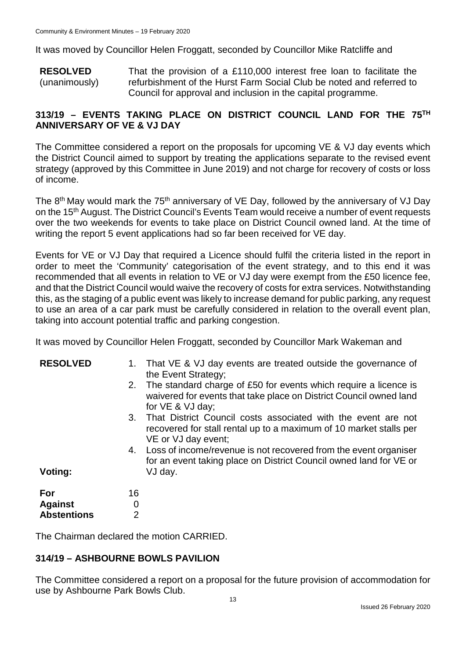It was moved by Councillor Helen Froggatt, seconded by Councillor Mike Ratcliffe and

**RESOLVED** (unanimously) That the provision of a £110,000 interest free loan to facilitate the refurbishment of the Hurst Farm Social Club be noted and referred to Council for approval and inclusion in the capital programme.

## **313/19 – EVENTS TAKING PLACE ON DISTRICT COUNCIL LAND FOR THE 75TH ANNIVERSARY OF VE & VJ DAY**

The Committee considered a report on the proposals for upcoming VE & VJ day events which the District Council aimed to support by treating the applications separate to the revised event strategy (approved by this Committee in June 2019) and not charge for recovery of costs or loss of income.

The  $8<sup>th</sup>$  May would mark the 75<sup>th</sup> anniversary of VE Day, followed by the anniversary of VJ Day on the 15<sup>th</sup> August. The District Council's Events Team would receive a number of event requests over the two weekends for events to take place on District Council owned land. At the time of writing the report 5 event applications had so far been received for VE day.

Events for VE or VJ Day that required a Licence should fulfil the criteria listed in the report in order to meet the 'Community' categorisation of the event strategy, and to this end it was recommended that all events in relation to VE or VJ day were exempt from the £50 licence fee, and that the District Council would waive the recovery of costs for extra services. Notwithstanding this, as the staging of a public event was likely to increase demand for public parking, any request to use an area of a car park must be carefully considered in relation to the overall event plan, taking into account potential traffic and parking congestion.

It was moved by Councillor Helen Froggatt, seconded by Councillor Mark Wakeman and

| <b>RESOLVED</b>       | 1.       | That VE & VJ day events are treated outside the governance of<br>the Event Strategy;<br>2. The standard charge of £50 for events which require a licence is<br>waivered for events that take place on District Council owned land<br>for VE & VJ day;                                                |
|-----------------------|----------|------------------------------------------------------------------------------------------------------------------------------------------------------------------------------------------------------------------------------------------------------------------------------------------------------|
|                       | 3.<br>4. | That District Council costs associated with the event are not<br>recovered for stall rental up to a maximum of 10 market stalls per<br>VE or VJ day event;<br>Loss of income/revenue is not recovered from the event organiser<br>for an event taking place on District Council owned land for VE or |
| Voting:               |          | VJ day.                                                                                                                                                                                                                                                                                              |
| For<br><b>Against</b> | 16<br>0  |                                                                                                                                                                                                                                                                                                      |
| <b>Abstentions</b>    |          |                                                                                                                                                                                                                                                                                                      |
|                       |          |                                                                                                                                                                                                                                                                                                      |

The Chairman declared the motion CARRIED.

## **314/19 – ASHBOURNE BOWLS PAVILION**

The Committee considered a report on a proposal for the future provision of accommodation for use by Ashbourne Park Bowls Club.